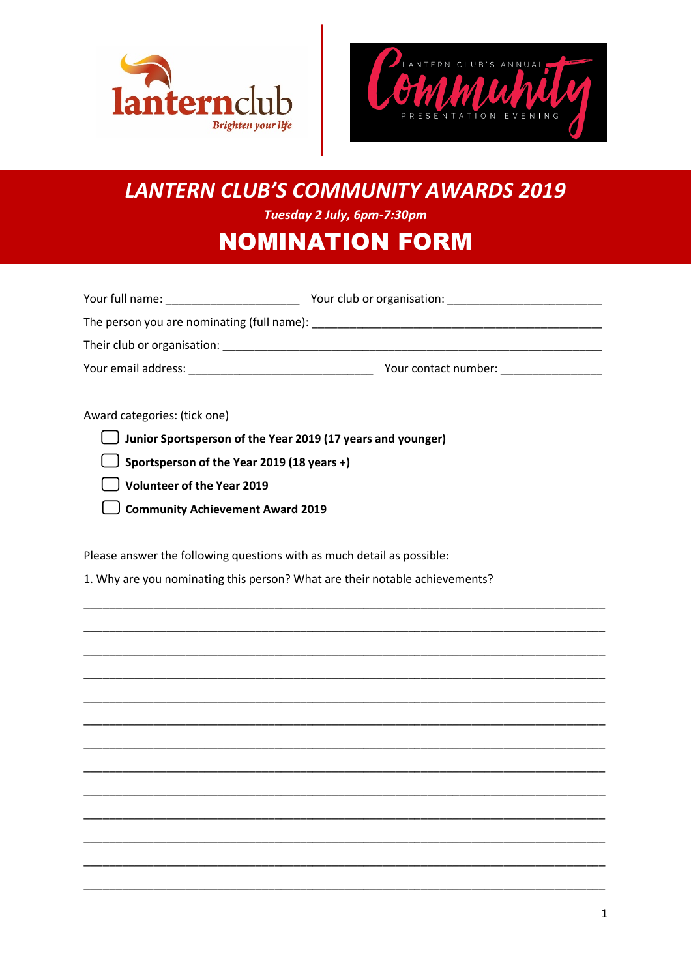



# **LANTERN CLUB'S COMMUNITY AWARDS 2019**

Tuesday 2 July, 6pm-7:30pm

# **NOMINATION FORM**

| Your full name:                            | Your club or organisation: |
|--------------------------------------------|----------------------------|
| The person you are nominating (full name): |                            |
| Their club or organisation:                |                            |
| Your email address:                        | Your contact number:       |
|                                            |                            |

Award categories: (tick one)

**Junior Sportsperson of the Year 2019 (17 years and younger)** 

 $\Box$  Sportsperson of the Year 2019 (18 years +)

Volunteer of the Year 2019

Community Achievement Award 2019

Please answer the following questions with as much detail as possible:

1. Why are you nominating this person? What are their notable achievements?

 $\mathbf{1}$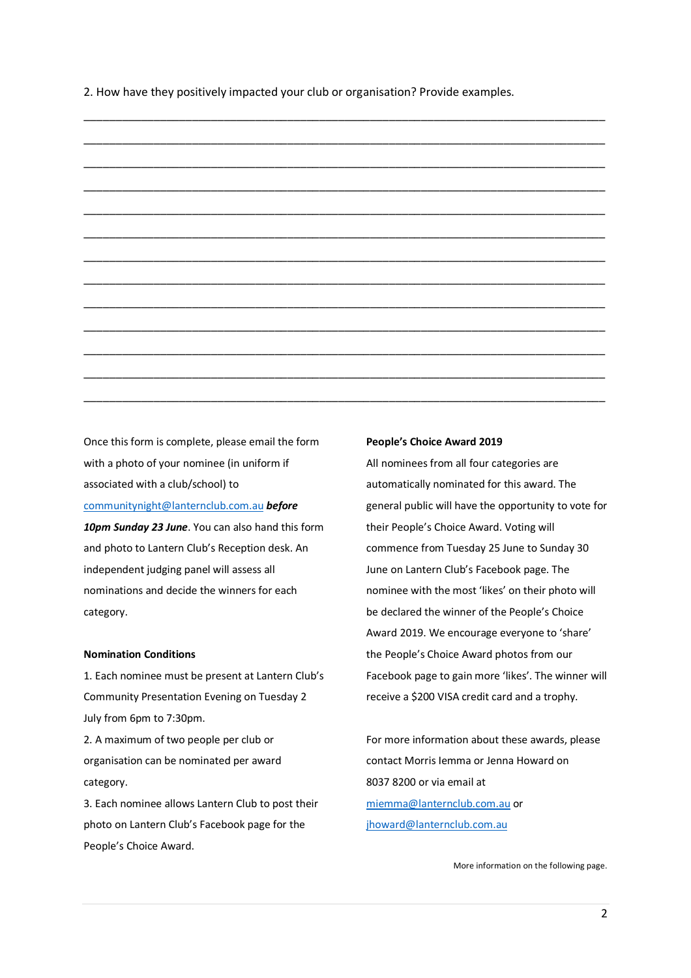2. How have they positively impacted your club or organisation? Provide examples.



Once this form is complete, please email the form with a photo of your nominee (in uniform if associated with a club/school) to communitynight@lanternclub.com.au *before 10pm Sunday 23 June*. You can also hand this form and photo to Lantern Club's Reception desk. An independent judging panel will assess all nominations and decide the winners for each category.

#### **Nomination Conditions**

1. Each nominee must be present at Lantern Club's Community Presentation Evening on Tuesday 2 July from 6pm to 7:30pm.

2. A maximum of two people per club or organisation can be nominated per award category.

3. Each nominee allows Lantern Club to post their photo on Lantern Club's Facebook page for the People's Choice Award.

#### **People's Choice Award 2019**

All nominees from all four categories are automatically nominated for this award. The general public will have the opportunity to vote for their People's Choice Award. Voting will commence from Tuesday 25 June to Sunday 30 June on Lantern Club's Facebook page. The nominee with the most 'likes' on their photo will be declared the winner of the People's Choice Award 2019. We encourage everyone to 'share' the People's Choice Award photos from our Facebook page to gain more 'likes'. The winner will receive a \$200 VISA credit card and a trophy.

For more information about these awards, please contact Morris Iemma or Jenna Howard on 8037 8200 or via email at miemma@lanternclub.com.au or jhoward@lanternclub.com.au

More information on the following page.